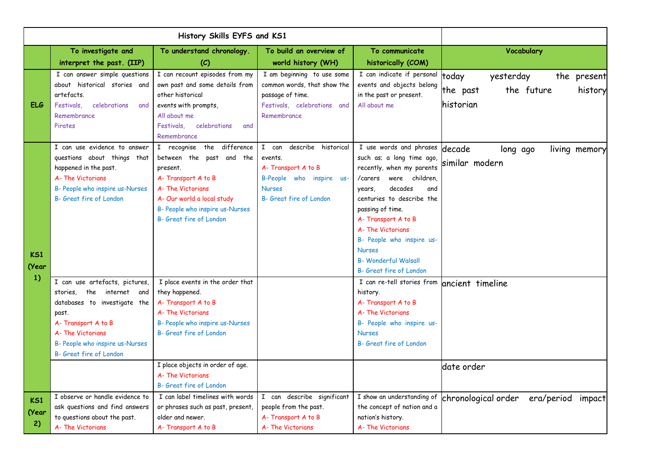|                    | To investigate and<br>interpret the past. (IIP)                                                                                                                                                                  | To understand chronology.<br>(C)                                                                                                                                                                          | To build an overview of<br>world history (WH)                                                                                         | To communicate<br>historically (COM)                                                                                                                                                                                                                                                                                                                        | Vocabulary                                                                          |
|--------------------|------------------------------------------------------------------------------------------------------------------------------------------------------------------------------------------------------------------|-----------------------------------------------------------------------------------------------------------------------------------------------------------------------------------------------------------|---------------------------------------------------------------------------------------------------------------------------------------|-------------------------------------------------------------------------------------------------------------------------------------------------------------------------------------------------------------------------------------------------------------------------------------------------------------------------------------------------------------|-------------------------------------------------------------------------------------|
| <b>ELG</b>         | I can answer simple questions<br>about historical stories and<br>artefacts.<br>celebrations<br>Festivals.<br>and<br>Remembrance<br>Pirates                                                                       | I can recount episodes from my<br>own past and some details from<br>other historical<br>events with prompts,<br>All about me<br>Festivals. celebrations<br>and<br>Remembrance                             | I am beginning to use some<br>common words, that show the<br>passage of time.<br>Festivals, celebrations and<br>Remembrance           | I can indicate if personal<br>events and objects belong<br>in the past or present.<br>All about me                                                                                                                                                                                                                                                          | today<br>yesterday<br>the present<br>the future<br>the past<br>history<br>historian |
| KS1<br>(Year<br>1) | I can use evidence to answer<br>questions about things that<br>happened in the past.<br>A- The Victorians<br>B- People who inspire us-Nurses<br>B- Great fire of London                                          | I recognise the difference<br>between the past and the<br>present.<br>A-Transport A to B<br>A- The Victorians<br>A- Our world a local study<br>B- People who inspire us-Nurses<br>B- Great fire of London | I can<br>describe historical<br>events.<br>A-Transport A to B<br>B-People who inspire us-<br><b>Nurses</b><br>B- Great fire of London | $\overline{I}$ use words and phrases<br>such as; a long time ago,<br>recently, when my parents<br>were children,<br>/carers<br>decades<br>and<br>years,<br>centuries to describe the<br>passing of time.<br>A-Transport A to B<br>A- The Victorians<br>B- People who inspire us-<br><b>Nurses</b><br><b>B- Wonderful Walsall</b><br>B- Great fire of London | decade<br>long ago<br>living memory<br>similar modern                               |
|                    | I can use artefacts, pictures,<br>stories, the internet<br>and<br>databases to investigate the<br>past.<br>A-Transport A to B<br>A- The Victorians<br>B- People who inspire us-Nurses<br>B- Great fire of London | I place events in the order that<br>they happened.<br>A-Transport A to B<br>A- The Victorians<br>B- People who inspire us-Nurses<br>B- Great fire of London<br>I place objects in order of age.           |                                                                                                                                       | I can re-tell stories from<br>history.<br>A-Transport A to B<br>A- The Victorians<br>B- People who inspire us-<br><b>Nurses</b><br>B- Great fire of London                                                                                                                                                                                                  | ancient timeline<br>date order                                                      |
| KS1<br>(Year<br>2) | I observe or handle evidence to<br>ask questions and find answers<br>to questions about the past.<br>A- The Victorians                                                                                           | A- The Victorians<br><b>B- Great fire of London</b><br>I can label timelines with words<br>or phrases such as past, present,<br>older and newer.<br>A-Transport A to B                                    | I can describe significant<br>people from the past.<br>A-Transport A to B<br>A- The Victorians                                        | I show an understanding of<br>the concept of nation and a<br>nation's history.<br>A- The Victorians                                                                                                                                                                                                                                                         | chronological order<br>era/period<br>impact                                         |